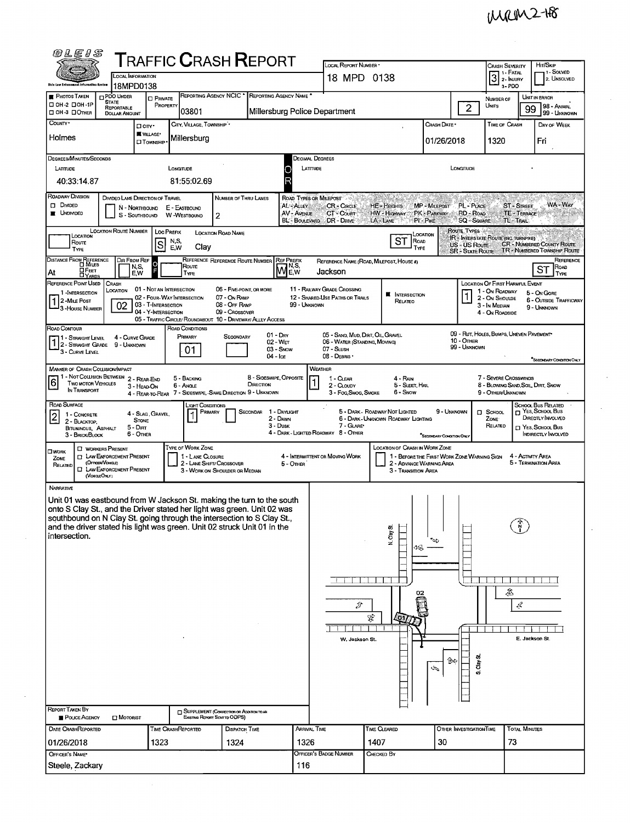| <b>@LEIS</b>                                                                                                                                                                                                                     |                                                                                                                                                   |                                |                                                             |                                                                           |                                      |                             | LOCAL REPORT NUMBER                                                     |                                                                               |                               |                                                       |                                                             |                                         |                                              |  |  |  |
|----------------------------------------------------------------------------------------------------------------------------------------------------------------------------------------------------------------------------------|---------------------------------------------------------------------------------------------------------------------------------------------------|--------------------------------|-------------------------------------------------------------|---------------------------------------------------------------------------|--------------------------------------|-----------------------------|-------------------------------------------------------------------------|-------------------------------------------------------------------------------|-------------------------------|-------------------------------------------------------|-------------------------------------------------------------|-----------------------------------------|----------------------------------------------|--|--|--|
|                                                                                                                                                                                                                                  | ${\sf T}$ RAFFIC ${\sf C}$ RASH ${\sf R}$ EPORT<br>LOCAL INFORMATION                                                                              |                                |                                                             |                                                                           |                                      |                             |                                                                         | 18 MPD 0138                                                                   |                               | <b>CRASH SEVERITY</b><br>  1 - Fatal<br>$3$ 2- INJURY | Hrt/SkiP<br>1 SOLVED<br>2. UNSOLVED                         |                                         |                                              |  |  |  |
| <b>Shie Law Enforcement Information System</b>                                                                                                                                                                                   | 18MPD0138                                                                                                                                         |                                |                                                             |                                                                           |                                      |                             |                                                                         |                                                                               |                               |                                                       | 3-PDO                                                       |                                         |                                              |  |  |  |
| <b>PHOTOS TAKEN</b><br>□ ОН-2 □ ОН-1Р                                                                                                                                                                                            | <b>DPDO UNDER</b><br>STATE<br>REPORTABLE                                                                                                          | <b>D</b> PRIVATE<br>PROPERTY   |                                                             | REPORTING AGENCY NCIC * REPORTING AGENCY NAME *                           |                                      |                             |                                                                         |                                                                               | $\overline{2}$                | NUMBER OF<br>Units                                    | UNIT IN ERROR<br>98 - ANIMAL<br>99                          |                                         |                                              |  |  |  |
| ⊡ ОН З □Отн∈я<br>COUNTY <sup>.</sup>                                                                                                                                                                                             | <b>DOLLAR AMOUNT</b><br>□ CITY*                                                                                                                   |                                | 03801<br>CITY, VILLAGE, TOWNSHIP *                          |                                                                           |                                      |                             | Millersburg Police Department                                           |                                                                               | Crash Date *                  | TIME OF CRASH                                         |                                                             | 99 - UNKNOWN<br>DAY OF WEEK             |                                              |  |  |  |
| Holmes                                                                                                                                                                                                                           |                                                                                                                                                   | VILLAGE*<br>$\square$ Township | Millersburg                                                 |                                                                           |                                      |                             |                                                                         |                                                                               | 01/26/2018                    |                                                       | 1320                                                        |                                         | Fri                                          |  |  |  |
|                                                                                                                                                                                                                                  |                                                                                                                                                   |                                |                                                             |                                                                           |                                      |                             |                                                                         |                                                                               |                               |                                                       |                                                             |                                         |                                              |  |  |  |
| DEGREES/MINUTES/SECONDS<br>LATTUDE                                                                                                                                                                                               |                                                                                                                                                   |                                | LONGITUDE                                                   |                                                                           |                                      | LATTUDE                     | Decimal Degrees                                                         |                                                                               |                               | LONGITUDE                                             |                                                             |                                         |                                              |  |  |  |
| 40:33:14.87                                                                                                                                                                                                                      |                                                                                                                                                   |                                | 81:55:02.69                                                 |                                                                           |                                      | R                           |                                                                         |                                                                               |                               |                                                       |                                                             |                                         |                                              |  |  |  |
| ROADWAY DIVISION                                                                                                                                                                                                                 | DIVIDEO LANE DIRECTION OF TRAVEL                                                                                                                  |                                |                                                             | NUMBER OF THRU LANES                                                      |                                      | ROAD TYPES OR MILEPOST      |                                                                         |                                                                               |                               |                                                       |                                                             |                                         |                                              |  |  |  |
| <b>DI DIVIDED</b><br><b>UNDIVIDED</b>                                                                                                                                                                                            | N - Northbound<br>S - SOUTHBOUND                                                                                                                  |                                | E - EASTBOUND<br>W -WESTBOUND                               | 2                                                                         |                                      | AL-ALLEY<br>AV - AVENUE     | <b>CR-CIRCLE</b><br>CT - COURT                                          | HE - HEIGHTS<br>HW - Highway                                                  | MP - MILEPOST<br>PK - PARKWAY | PL - PLACE<br>RD - Road                               |                                                             | <b>ST - STREET</b><br><b>TE-TERRACE</b> | WA-Way                                       |  |  |  |
|                                                                                                                                                                                                                                  | LOCATION ROUTE NUMBER                                                                                                                             |                                |                                                             |                                                                           |                                      | BL-BOULEVARD                | DR - DRIVE                                                              | LA - LANE                                                                     | PI-PIKE                       | <b>SQ - SQUARE</b><br>ROUTE TYPES                     | TL-Trail                                                    |                                         |                                              |  |  |  |
| <b>LOC PREFIX</b><br>LOCATION ROAD NAME<br>LOCATION<br>Location<br>IR - INTERSTATE ROUTE (INC. TURNPIKE)<br>ST<br>ROAD<br>N,S,<br>Route<br>S<br><b>CR - NUMBERED COUNTY ROUTE</b><br>US - US Route<br>Clay<br>E,W<br><b>TYPE</b> |                                                                                                                                                   |                                |                                                             |                                                                           |                                      |                             |                                                                         |                                                                               |                               |                                                       |                                                             |                                         |                                              |  |  |  |
| TYPE<br>DISTANCE FROM REFERENCE                                                                                                                                                                                                  | DIR FROM REF                                                                                                                                      |                                |                                                             | REFERENCE REFERENCE ROUTE NUMBER                                          |                                      | <b>REF PREFIX</b>           |                                                                         | REFERENCE NAME (ROAD, MILEPOST, HOUSE #)                                      |                               | <b>SR - STATE ROUTE</b>                               |                                                             |                                         | TR - NUMBERED TOWNSHIP ROUTE<br>REFERENCE    |  |  |  |
| OFEET<br>At<br><b>DYARDS</b>                                                                                                                                                                                                     | N,S,<br>EW                                                                                                                                        |                                | Route<br>TYPE                                               |                                                                           |                                      | 1N,S,<br>Mew                | Jackson                                                                 |                                                                               |                               |                                                       |                                                             |                                         | ROAD<br>SТ<br>TYPE                           |  |  |  |
| REFERENCE POINT USED<br>1-INTERSECTION                                                                                                                                                                                           | CRASH<br>LOCATION                                                                                                                                 | 01 - NOT AN INTERSECTION       |                                                             | 06 - FIVE-POINT, OR MORE                                                  |                                      |                             | 11 - RAILWAY GRADE CROSSING                                             | <b>NUMBER</b> INTERSECTION                                                    |                               |                                                       | LOCATION OF FIRST HARMFUL EVENT<br>1 - On Roadway           |                                         | 5 - On GORE                                  |  |  |  |
| 1 2 - MiLE Post<br><sup>1</sup> 3 - House Number                                                                                                                                                                                 | 02                                                                                                                                                | 03 - T-INTERSECTION            | 02 - FOUR-WAY INTERSECTION                                  | 07 - On RAMP<br>08 - Off RAMP                                             |                                      | 99 - UNKNOWN                | 12 - SHARED-USE PATHS OR TRAILS                                         | RELATEO                                                                       |                               |                                                       | 2 - On Shoulde<br>3 - In Median                             |                                         | <b>6 - OUTSIDE TRAFFICWAY</b><br>9 - Unknown |  |  |  |
|                                                                                                                                                                                                                                  |                                                                                                                                                   | 04 - Y-INTERSECTION            | 05 - TRAFFIC CIRCLE/ ROUNDABOUT 10 - DRIVEWAY/ ALLEY ACCESS | 09 - Crossover                                                            |                                      |                             |                                                                         |                                                                               |                               |                                                       | 4 - On Roadside                                             |                                         |                                              |  |  |  |
| Road Contour<br>11 - Straight Level                                                                                                                                                                                              | 4 - CURVE GRADE                                                                                                                                   |                                | ROAD CONDITIONS<br>PRIMARY                                  | SECONDARY                                                                 | $01 - \text{Day}$                    |                             | 05 - SAND, MUD, DIRT, OIL, GRAVEL                                       |                                                                               |                               |                                                       | 09 - RUT, HOLES, BUMPS, UNEVEN PAVEMENT                     |                                         |                                              |  |  |  |
| $\left\lceil \frac{1}{2} \right\rceil$ Straight Grade<br>3 - CURVE LEVEL                                                                                                                                                         | 9 - Unknown                                                                                                                                       |                                | 01                                                          |                                                                           | 02 WFT<br>03 - Snow                  |                             | 06 - WATER (STANDING, MOVING)<br>07 - SLUSH                             |                                                                               |                               | 10 - OTHER<br>99 - Unknown                            |                                                             |                                         |                                              |  |  |  |
| 04 - Ice<br>08 - DEBRIS<br>*SECONDARY CONDITION ONLY<br>MANNER OF CRASH COLLISION/IMPACT<br><b>WEATHER</b>                                                                                                                       |                                                                                                                                                   |                                |                                                             |                                                                           |                                      |                             |                                                                         |                                                                               |                               |                                                       |                                                             |                                         |                                              |  |  |  |
| 6 <br><b>TWO MOTOR VEHICLES</b>                                                                                                                                                                                                  | 1 - Not Collision Between 2 - Rear-End                                                                                                            |                                | 5 - Backing<br>6 - Angle                                    |                                                                           | 8 - Sideswipe, Opposite<br>DIRECTION |                             | 1 - CLEAR                                                               | 4 - RAIN<br>5 - SLEET, HAIL                                                   |                               |                                                       | 7 - Severe Crosswinds<br>8 - Blowing Sand, Soil, Dirt, Snow |                                         |                                              |  |  |  |
| IN TRANSPORT                                                                                                                                                                                                                     | 3 - HEAD ON                                                                                                                                       |                                | 4 - REAR-TO-REAR 7 - SIDESWIPE, -SAME DIRECTION 9 - UNKNOWN |                                                                           |                                      |                             | 2 - CLOUDY<br>3 - Fog Smog, Smoke                                       | 6 - Snow                                                                      |                               |                                                       | 9 - OTHER/UNKNOWN                                           |                                         |                                              |  |  |  |
| ROAD SURFACE<br>1 - CONCRETE                                                                                                                                                                                                     |                                                                                                                                                   | 4 - Slag, Gravel               | Light Conditions<br>Primary                                 |                                                                           | SECONDAR 1 - DAYLIGHT                |                             |                                                                         | 5 - DARK - ROADWAY NOT LIGHTED                                                | 9 - UNKNOWN                   |                                                       | $\square$ SCHOOL                                            |                                         | School Bus Related<br>T YES, SCHOOL BUS      |  |  |  |
| $\overline{2}$<br>2 - BLACKTOP.<br>BITUMINOUS, ASPHALT                                                                                                                                                                           | <b>STONE</b><br>5 - Dirt                                                                                                                          |                                |                                                             |                                                                           | 2 - DAWN<br>3 - Dusk                 |                             | 7 - GLARE*                                                              | 6 - DARK - UNKNOWN ROADWAY LIGHTING                                           |                               |                                                       | ZONE <sup>-</sup><br>RELATED                                |                                         | DIRECTLY INVOLVED<br>T YES, SCHOOL BUS       |  |  |  |
| 3 - BRICK BLOCK                                                                                                                                                                                                                  | 6 - Other                                                                                                                                         |                                |                                                             |                                                                           |                                      |                             | 4 - DARK - LIGHTED ROADWAY 8 - OTHER                                    |                                                                               | SECONDARY CONDITION ONLY      |                                                       |                                                             |                                         | INDIRECTLY INVOLVED                          |  |  |  |
| <b>OWORK</b><br>ZONE                                                                                                                                                                                                             | <b>D</b> WORKERS PRESENT<br><b>INV ENFORCEMENT PRESENT</b>                                                                                        |                                | TYPE OF WORK ZONE<br>1 - LANE CLOSURE                       |                                                                           |                                      |                             | 4 - INTERMITTENT OR MOVING WORK                                         | LOCATION OF CRASH IN WORK ZONE<br>1 - BEFORE THE FIRST WORK ZONE WARNING SIGN |                               |                                                       |                                                             | 4 - ACTIVITY AREA                       |                                              |  |  |  |
| RELATED                                                                                                                                                                                                                          | (OFFICER/VENCLE)<br><b>EI LAW ENFORCEMENT PRESENT</b><br>(VENCLEONLY)                                                                             |                                | 2 - LANE SHIFT/ CROSSOVER                                   | 3 - WORK ON SHOULDER OR MEDIAN                                            |                                      | 5 - OTHER                   | 5 - TERMINATION AREA<br>2 - ADVANCE WARNING AREA<br>3 - Transition Area |                                                                               |                               |                                                       |                                                             |                                         |                                              |  |  |  |
| Narrative                                                                                                                                                                                                                        |                                                                                                                                                   |                                |                                                             |                                                                           |                                      |                             |                                                                         |                                                                               |                               |                                                       |                                                             |                                         |                                              |  |  |  |
|                                                                                                                                                                                                                                  | Unit 01 was eastbound from W Jackson St. making the turn to the south                                                                             |                                |                                                             |                                                                           |                                      |                             |                                                                         |                                                                               |                               |                                                       |                                                             |                                         |                                              |  |  |  |
|                                                                                                                                                                                                                                  | onto S Clay St., and the Driver stated her light was green. Unit 02 was<br>southbound on N Clay St. going through the intersection to S Clay St., |                                |                                                             |                                                                           |                                      |                             |                                                                         |                                                                               |                               |                                                       |                                                             |                                         |                                              |  |  |  |
| intersection.                                                                                                                                                                                                                    | and the driver stated his light was green. Unit 02 struck Unit 01 in the                                                                          |                                |                                                             |                                                                           |                                      |                             |                                                                         | N. Clay St.                                                                   |                               |                                                       |                                                             |                                         |                                              |  |  |  |
|                                                                                                                                                                                                                                  |                                                                                                                                                   |                                |                                                             |                                                                           |                                      |                             |                                                                         |                                                                               |                               |                                                       |                                                             |                                         |                                              |  |  |  |
|                                                                                                                                                                                                                                  |                                                                                                                                                   |                                |                                                             |                                                                           |                                      |                             |                                                                         |                                                                               |                               |                                                       |                                                             |                                         |                                              |  |  |  |
|                                                                                                                                                                                                                                  |                                                                                                                                                   |                                |                                                             |                                                                           |                                      |                             |                                                                         |                                                                               |                               |                                                       |                                                             |                                         |                                              |  |  |  |
|                                                                                                                                                                                                                                  |                                                                                                                                                   |                                |                                                             |                                                                           |                                      |                             |                                                                         |                                                                               |                               |                                                       | 态                                                           |                                         |                                              |  |  |  |
|                                                                                                                                                                                                                                  |                                                                                                                                                   |                                |                                                             |                                                                           |                                      |                             | Ÿ                                                                       |                                                                               |                               |                                                       |                                                             | Ŀ                                       |                                              |  |  |  |
|                                                                                                                                                                                                                                  |                                                                                                                                                   |                                |                                                             |                                                                           |                                      |                             |                                                                         | Ŷ,                                                                            |                               |                                                       |                                                             |                                         |                                              |  |  |  |
|                                                                                                                                                                                                                                  |                                                                                                                                                   |                                |                                                             |                                                                           |                                      |                             | W. Jackson St.                                                          |                                                                               |                               |                                                       |                                                             | E. Jackson St                           |                                              |  |  |  |
|                                                                                                                                                                                                                                  |                                                                                                                                                   |                                |                                                             |                                                                           |                                      |                             |                                                                         |                                                                               |                               |                                                       |                                                             |                                         |                                              |  |  |  |
|                                                                                                                                                                                                                                  |                                                                                                                                                   |                                |                                                             |                                                                           |                                      | Clay St.<br>ি∻<br>جي<br>oi. |                                                                         |                                                                               |                               |                                                       |                                                             |                                         |                                              |  |  |  |
|                                                                                                                                                                                                                                  |                                                                                                                                                   |                                |                                                             |                                                                           |                                      |                             |                                                                         |                                                                               |                               |                                                       |                                                             |                                         |                                              |  |  |  |
|                                                                                                                                                                                                                                  |                                                                                                                                                   |                                |                                                             |                                                                           |                                      |                             |                                                                         |                                                                               |                               |                                                       |                                                             |                                         |                                              |  |  |  |
| REPORT TAKEN BY<br>POLICE AGENCY                                                                                                                                                                                                 | $\Box$ Motorist                                                                                                                                   |                                |                                                             | SUPPLEMENT (CORRECTION OR ADDITION TO AN<br>Existing Report Sent to ODPS) |                                      |                             |                                                                         |                                                                               |                               |                                                       |                                                             |                                         |                                              |  |  |  |
| <b>DATE CRASHREPORTED</b>                                                                                                                                                                                                        |                                                                                                                                                   |                                | TIME CRASHREPORTED                                          | <b>DISPATCH TIME</b>                                                      |                                      | ARRIVAL TIME                |                                                                         | Time Cleared                                                                  |                               | OTHER INVESTIGATION TIME                              |                                                             | TOTAL MINUTES                           |                                              |  |  |  |
| 01/26/2018                                                                                                                                                                                                                       |                                                                                                                                                   | 1323                           |                                                             | 1324                                                                      |                                      | 1326                        |                                                                         | 1407                                                                          | 30                            |                                                       | 73                                                          |                                         |                                              |  |  |  |
| OFFICER'S NAME*                                                                                                                                                                                                                  |                                                                                                                                                   |                                |                                                             |                                                                           |                                      |                             | Officer's Badge Number                                                  | Снескер Вү                                                                    |                               |                                                       |                                                             |                                         |                                              |  |  |  |
| Steele, Zackary                                                                                                                                                                                                                  |                                                                                                                                                   |                                |                                                             |                                                                           |                                      | 116                         |                                                                         |                                                                               |                               |                                                       |                                                             |                                         |                                              |  |  |  |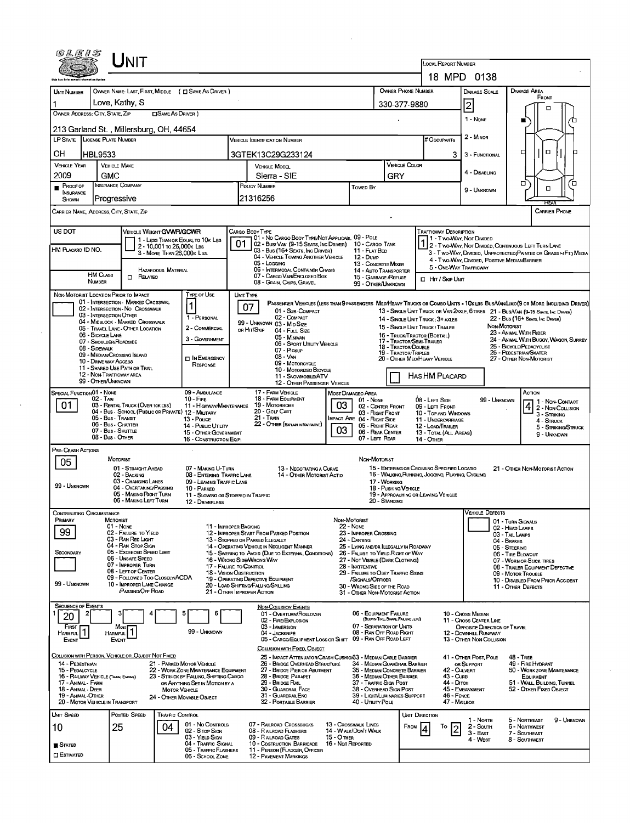| 0LE1S                                     | <b>NIT</b>                                                                   |                                                                                |                                                   |                                                                                                                                                                    |                                                                       |                                                     |                                                                                 |                                                                                   |                                                   |                                                                                                                               |  |  |  |  |
|-------------------------------------------|------------------------------------------------------------------------------|--------------------------------------------------------------------------------|---------------------------------------------------|--------------------------------------------------------------------------------------------------------------------------------------------------------------------|-----------------------------------------------------------------------|-----------------------------------------------------|---------------------------------------------------------------------------------|-----------------------------------------------------------------------------------|---------------------------------------------------|-------------------------------------------------------------------------------------------------------------------------------|--|--|--|--|
|                                           |                                                                              |                                                                                |                                                   |                                                                                                                                                                    |                                                                       |                                                     |                                                                                 | LOCAL REPORT NUMBER                                                               | 18 MPD 0138                                       |                                                                                                                               |  |  |  |  |
| <b>UNIT NUMBER</b>                        |                                                                              | OWNER NAME: LAST, FIRST, MIDDLE ( C SAME AS DRIVER )                           |                                                   |                                                                                                                                                                    |                                                                       |                                                     | OWNER PHONE NUMBER                                                              |                                                                                   | <b>DAMAGE SCALE</b>                               | DAMAGE AREA                                                                                                                   |  |  |  |  |
|                                           | Love, Kathy, S                                                               |                                                                                |                                                   |                                                                                                                                                                    |                                                                       |                                                     | 330-377-9880                                                                    |                                                                                   |                                                   | FRONT                                                                                                                         |  |  |  |  |
| OWNER ADDRESS: CITY, STATE, ZIP           |                                                                              | <b>SAME AS DRIVER</b> )                                                        |                                                   |                                                                                                                                                                    |                                                                       |                                                     |                                                                                 |                                                                                   | 2                                                 | □                                                                                                                             |  |  |  |  |
|                                           |                                                                              |                                                                                |                                                   |                                                                                                                                                                    |                                                                       |                                                     |                                                                                 |                                                                                   | 1 - NONE                                          | ∕ם                                                                                                                            |  |  |  |  |
|                                           | 213 Garland St., Millersburg, OH, 44654                                      |                                                                                |                                                   |                                                                                                                                                                    |                                                                       |                                                     |                                                                                 |                                                                                   | 2 - MINOR                                         |                                                                                                                               |  |  |  |  |
|                                           | LP STATE LICENSE PLATE NUMBER                                                |                                                                                |                                                   | <b>VEHICLE IDENTIFICATION NUMBER</b>                                                                                                                               |                                                                       |                                                     |                                                                                 | # Occupants                                                                       |                                                   |                                                                                                                               |  |  |  |  |
| OН                                        | HBL9533                                                                      |                                                                                |                                                   | 3GTEK13C29G233124                                                                                                                                                  |                                                                       |                                                     |                                                                                 | 3                                                                                 | 3 - FUNCTIONAL                                    | $\Box$<br>ㅁ                                                                                                                   |  |  |  |  |
| <b>VEHICLE YEAR</b>                       | <b>VEHICLE MAKE</b>                                                          |                                                                                |                                                   | <b>VEHICLE MODEL</b>                                                                                                                                               |                                                                       |                                                     | <b>VEHICLE COLOR</b>                                                            |                                                                                   |                                                   |                                                                                                                               |  |  |  |  |
| 2009                                      | <b>GMC</b>                                                                   |                                                                                |                                                   | Sierra - SIE                                                                                                                                                       |                                                                       | GRY                                                 |                                                                                 | 4 - DISABLING                                                                     | □<br>□                                            |                                                                                                                               |  |  |  |  |
| PROOF OF<br>INSURANCE                     | <b>INSURANCE COMPANY</b>                                                     |                                                                                |                                                   | <b>POLICY NUMBER</b>                                                                                                                                               | Towed By                                                              |                                                     |                                                                                 | 9 - UNKNOWN                                                                       | $\Box$                                            |                                                                                                                               |  |  |  |  |
| SHOWN                                     | Progressive                                                                  |                                                                                |                                                   | 21316256                                                                                                                                                           |                                                                       |                                                     |                                                                                 |                                                                                   |                                                   |                                                                                                                               |  |  |  |  |
|                                           | CARRIER NAME, ADDRESS, CITY, STATE, ZIP                                      |                                                                                |                                                   |                                                                                                                                                                    |                                                                       |                                                     |                                                                                 |                                                                                   |                                                   | CARRIER PHONE                                                                                                                 |  |  |  |  |
| US DOT                                    |                                                                              | VEHICLE WEIGHT GWWR/GCWR                                                       |                                                   | CARGO BODY TYPE                                                                                                                                                    |                                                                       |                                                     |                                                                                 | <b>TRAFFICWAY DESCRIPTION</b>                                                     |                                                   |                                                                                                                               |  |  |  |  |
|                                           |                                                                              | 1 - LESS THAN OR EQUAL TO 10K LBS<br>2 - 10,001 to 26,000 k Las                | 01                                                | 01 - No CARGO BODY TYPE/NOT APPLICABL 09 - POLE<br>02 - Bus/ Van (9-15 Seats, Inc Driver)                                                                          |                                                                       | 10 - CARGO TANK                                     |                                                                                 |                                                                                   | 1 - Two Way, Not Divided                          | $12$ - Two-Way, Not Divided, Continuous Left Turn Lane                                                                        |  |  |  |  |
| HM PLACARD ID NO.                         |                                                                              | 3 - MORE THAN 26,000K LBS.                                                     |                                                   | 03 - Bus (16+ SEATS, INC DRIVER)<br>04 - VEHICLE TOWING ANOTHER VEHICLE                                                                                            | <b>12 - Dump</b>                                                      | 11 - FLAT BED                                       |                                                                                 |                                                                                   |                                                   | 3 - T WO-WAY, DIVIDED, UNPROTECTED (PAINTED OR GRASS >4FT.) MEDIA                                                             |  |  |  |  |
|                                           |                                                                              | <b>HAZARDOUS MATERIAL</b>                                                      |                                                   | 05 - Logging<br>06 - INTERMODAL CONTAINER CHASIS                                                                                                                   |                                                                       | 13 - CONCRETE MIXER                                 |                                                                                 | 5 - ONE WAY TRAFFICWAY                                                            | 4 - Two-Way, DIVIDED, POSITIVE MEDIANBARRIER      |                                                                                                                               |  |  |  |  |
|                                           | <b>HM CLASS</b><br>$\Box$ Related<br>NUMBER                                  |                                                                                |                                                   | 07 - CARGO VAN ENCLOSED BOX<br>08 - GRAIN, CHIPS, GRAVEL                                                                                                           |                                                                       | 14 - AUTO TRANSPORTER<br>15 - GARBAGE /REFUSE       |                                                                                 | HIT / SKIP UNIT                                                                   |                                                   |                                                                                                                               |  |  |  |  |
|                                           |                                                                              | Type of Use                                                                    |                                                   |                                                                                                                                                                    |                                                                       | 99 - OTHER/UNKNOWN                                  |                                                                                 |                                                                                   |                                                   |                                                                                                                               |  |  |  |  |
|                                           | NON-MOTORIST LOCATION PRIOR TO IMPACT<br>01 - INTERSECTION - MARKED CROSSWAL | $\mathbf 1$                                                                    | UNIT TYPE                                         |                                                                                                                                                                    |                                                                       |                                                     |                                                                                 |                                                                                   |                                                   | PASSENGER VEHICLES (LESS THAN 9 PASSENGERS MED/HEAVY TRUCKS OR COMBO UNITS > 1 OK LES BUS/VAMLIMO(9 OR MORE INCLUDING DRIVER) |  |  |  |  |
|                                           | 02 - INTERSECTION - NO CROSSWALK<br>03 - INTERSECTION OTHER                  | 1 - PERSONAL                                                                   | 07                                                | 01 - Sub-Compact<br>02 - COMPACT                                                                                                                                   |                                                                       |                                                     |                                                                                 |                                                                                   |                                                   | 13 - SINGLE UNIT TRUCK OR VAN 2AXLE, 6 TIRES 21 - BUS/VAN (9-15 SEATS, Inc DRIVER)                                            |  |  |  |  |
|                                           | 04 - MIDBLOCK - MARKED CROSSWALK<br>05 - TRAVEL LANE - OTHER LOCATION        | 2 - COMMERCIAL                                                                 |                                                   | 99 - UNKNOWN 03 - MID SIZE                                                                                                                                         |                                                                       |                                                     | 14 - SINGLE UNIT TRUCK: 3+ AXLES<br>15 - SINGLE UNIT TRUCK / TRAILER            |                                                                                   |                                                   | 22 - Bus (16+ Seats, Inc Driver)<br>NON-MOTORIST                                                                              |  |  |  |  |
|                                           | 06 - BICYCLE LANE                                                            | 3 - GOVERNMENT                                                                 |                                                   | or Hit/Skip<br>04 - FULL SIZE<br>05 - Minivan                                                                                                                      |                                                                       |                                                     | 16 - Truck/Tractor (BOBTAIL)                                                    |                                                                                   |                                                   | 23 - ANIMAL WITH RIDER<br>24 - ANIMAL WITH BUGGY, WAGON, SURREY                                                               |  |  |  |  |
|                                           | 07 - Shoulder/Roadside<br>08 - SIDEWALK                                      |                                                                                |                                                   | 06 - SPORT UTILITY VEHICLE<br>07 - Pickup                                                                                                                          |                                                                       |                                                     | 17 - TRACTOR/SEMI-TRAILER<br>18 - TRACTOR/DOUBLE<br><b>19 - TRACTOR/TRIPLES</b> |                                                                                   |                                                   | 25 - BICYCLE/PEDACYCLIST                                                                                                      |  |  |  |  |
|                                           | 09 - MEDIAN CROSSING ISLAND<br>10 - DRIVE WAY ACCESS                         | <b>DIN EMERGENCY</b>                                                           |                                                   | 08 - VAN<br>09 - MOTORCYCLE                                                                                                                                        |                                                                       |                                                     |                                                                                 | 26 - PEDESTRIAN/SKATER<br>20 - OTHER MEO/HEAVY VEHICLE<br>27 - OTHER NON-MOTORIST |                                                   |                                                                                                                               |  |  |  |  |
|                                           | 11 - SHARED-USE PATH OR TRAIL<br>12 - NON-TRAFFICWAY AREA                    | RESPONSE                                                                       |                                                   | 10 - MOTORIZEO BICYCLE<br>11 - SNOWMOBILE/ATV                                                                                                                      |                                                                       |                                                     | <b>HAS HM PLACARD</b>                                                           |                                                                                   |                                                   |                                                                                                                               |  |  |  |  |
|                                           | 99 - OTHER/UNKNOWN                                                           |                                                                                |                                                   | 12 - OTHER PASSENGER VEHICLE                                                                                                                                       |                                                                       |                                                     |                                                                                 |                                                                                   |                                                   |                                                                                                                               |  |  |  |  |
| SPECIAL FUNCTION 01 - NONE                | 02 - TAXI                                                                    | 09 - AMBULANCE<br>$10 -$ Fire                                                  |                                                   | 17 - FARM VEHICLE<br>18 - FARM EQUIPMENT                                                                                                                           | MOST DAMAGEO AREA                                                     |                                                     | $08 - L \text{er}$ Side                                                         |                                                                                   |                                                   | Астом                                                                                                                         |  |  |  |  |
| 01                                        | 03 - RENTAL TRUCK (OVER 10K LBS)                                             |                                                                                |                                                   | 11 - HIGHWAY/MAINTENANCE 19 - MOTORHOME                                                                                                                            | 03                                                                    | 01 - None<br>02 - CENTER FRONT                      |                                                                                 | 09 - LEFT FRONT                                                                   | 99 - UNKNOWN                                      | 1 - Non- Contact<br>4 2 - NON-COLLISION                                                                                       |  |  |  |  |
|                                           | 05 - Bus - Transit                                                           | 04 - Bus - SCHOOL (PUBLIC OR PRIVATE) 12 - MILITARY<br>13 - Pouce              |                                                   | 20 - GOLF CART<br>$21 -$ Train                                                                                                                                     | MPACT ARE 04 - RIGHT SIDE                                             | 03 - Right Front                                    |                                                                                 | 10 - TOP AND WINDOWS<br>11 - UNDERCARRIAGE                                        |                                                   | 3 - Striking<br>4 - STRUCK                                                                                                    |  |  |  |  |
|                                           | 06 - Bus - CHARTER<br>07 - Bus - SHUTTLE                                     | 14 - PUBLIC UTILITY<br>15 - OTHER GOVERNMENT                                   |                                                   | 22 - OTHER (EXPLAN IN NARRATIVE)                                                                                                                                   | 03                                                                    | 05 - Right Rear<br>06 - REAR CENTER                 |                                                                                 | 12 - LOAD/TRAILER<br>13 - TOTAL (ALL AREAS)                                       |                                                   | 5 - STRIKING/STRUCK                                                                                                           |  |  |  |  |
|                                           | 08 - Bus - OTHER                                                             | 16 - CONSTRUCTION EQIP.                                                        |                                                   |                                                                                                                                                                    |                                                                       | 07 - LEFT REAR                                      | 14 - OTHER                                                                      |                                                                                   |                                                   | 9 - Unknown                                                                                                                   |  |  |  |  |
| PRE- CRASH ACTIONS                        |                                                                              |                                                                                |                                                   |                                                                                                                                                                    |                                                                       |                                                     |                                                                                 |                                                                                   |                                                   |                                                                                                                               |  |  |  |  |
| 05                                        | <b>MOTORIST</b><br>01 - STRAIGHT AHEAD                                       | 07 - MAKING U-TURN                                                             |                                                   | 13 - NEGOTIATING A CURVE                                                                                                                                           |                                                                       | Non-Motorist                                        | 15 - ENTERING OR CROSSING SPECIFIED LOCATIO                                     |                                                                                   |                                                   | 21 - OTHER NON-MOTORIST ACTION                                                                                                |  |  |  |  |
|                                           | 02 - BACKING<br>03 - Changing Lanes                                          | 08 - ENTERING TRAFFIC LANE                                                     |                                                   | 14 - OTHER MOTORIST ACTIO                                                                                                                                          |                                                                       |                                                     | 16 - WALKING, RUNNING, JOGGING, PLAYING, CYCLING                                |                                                                                   |                                                   |                                                                                                                               |  |  |  |  |
| 99 - UNKNOWN                              | 04 - OVERTAKING/PASSING                                                      | 09 - LEAVING TRAFFIC LANE<br>10 - PARKED                                       |                                                   |                                                                                                                                                                    |                                                                       | 17 - WORKING<br>18 - Pushing Vehicle                |                                                                                 |                                                                                   |                                                   |                                                                                                                               |  |  |  |  |
|                                           | 05 - MAKING RIGHT TURN<br>06 - MAKING LEFT TURN                              | 11 - SLOWING OR STOPPED IN TRAFFIC<br>12 - DRIVERLESS                          |                                                   |                                                                                                                                                                    |                                                                       | 20 - Standing                                       | 19 - APPROACHING OR LEAVING VEHICLE                                             |                                                                                   |                                                   |                                                                                                                               |  |  |  |  |
| <b>CONTRIBUTING CIRCUMSTANCE</b>          |                                                                              |                                                                                |                                                   |                                                                                                                                                                    |                                                                       |                                                     |                                                                                 |                                                                                   | <b>VEHICLE DEFECTS</b>                            |                                                                                                                               |  |  |  |  |
| PRIMARY                                   | MOTORIST<br>01 - None                                                        |                                                                                | 11 - IMPROPER BACKING                             |                                                                                                                                                                    | Non-Motorist<br><b>22 - NONE</b>                                      |                                                     |                                                                                 |                                                                                   |                                                   | 01 - TURN SIGNALS                                                                                                             |  |  |  |  |
| 99                                        | 02 - FAILURE TO YIELD                                                        |                                                                                |                                                   | 12 - IMPROPER START FROM PARKED POSITION                                                                                                                           | 23 - IMPROPER CROSSING                                                |                                                     |                                                                                 |                                                                                   |                                                   | 02 - HEAD LAMPS<br>03 - TAIL LAMPS                                                                                            |  |  |  |  |
|                                           | 03 - RAN RED LIGHT<br>04 - RAN STOP SIGN                                     |                                                                                |                                                   | 13 - Stopped or Parked Illegally<br>14 - OPERATING VEHICLE IN NEGLIGENT MANNER                                                                                     | 24 - DARTING                                                          | 25 - LYING AND/DR LLEGALLY IN ROADWAY               |                                                                                 |                                                                                   | 04 - Brakes<br>05 - STEERING                      |                                                                                                                               |  |  |  |  |
| SECONDARY                                 | 05 - Exceeded Speed LIMIT<br>06 - UNSAFE SPEED                               |                                                                                |                                                   | 15 - Swering to Avoid (Due to External Conditions)<br>16 - WRONG SIDE/WRONG WAY                                                                                    | 26 - FALURE TO YIELD RIGHT OF WAY<br>27 - NOT VISIBLE (DARK CLOTHING) |                                                     |                                                                                 |                                                                                   | 06 - TIRE BLOWOUT<br>07 - WORN OR SLICK TIRES     |                                                                                                                               |  |  |  |  |
|                                           | 07 - IMPROPER TURN<br>08 - LEFT OF CENTER                                    |                                                                                | 17 - FALURE TO CONTROL<br>18 - VISION OBSTRUCTION |                                                                                                                                                                    | 28 - INATTENTIVE                                                      |                                                     |                                                                                 |                                                                                   |                                                   | 08 - TRAILER EQUIPMENT DEFECTIVE                                                                                              |  |  |  |  |
| 99 - UNKNOWN                              | 09 - FOLLOWED TOO CLOSELY/ACDA<br>10 - IMPROPER LANE CHANGE                  |                                                                                |                                                   | 29 - FAILURE TO OBEY TRAFFIC SIGNS<br>19 - OPERATING DEFECTIVE EQUIPMENT<br>/SIGNALS/OFFICER<br>20 - LOAD SHIFTING/FALLING/SPILLING<br>30 - WRONG SIDE OF THE ROAD |                                                                       |                                                     |                                                                                 |                                                                                   |                                                   | 09 - MOTOR TROUBLE<br>10 - DISABLED FROM PRIOR ACCIDENT                                                                       |  |  |  |  |
|                                           | /PASSING/OFF ROAD                                                            |                                                                                |                                                   | 21 - OTHER IMPROPER ACTION                                                                                                                                         | 31 - OTHER NON-MOTORIST ACTION                                        |                                                     |                                                                                 |                                                                                   |                                                   | 11 - OTHER DEFECTS                                                                                                            |  |  |  |  |
| <b>SEQUENCE OF EVENTS</b>                 |                                                                              |                                                                                |                                                   | <b>NON-COLLISION EVENTS</b>                                                                                                                                        |                                                                       |                                                     |                                                                                 |                                                                                   |                                                   |                                                                                                                               |  |  |  |  |
| 20                                        |                                                                              | 6                                                                              |                                                   | 01 - Overturn/Rollover<br>02 - FIRE/EXPLOSION                                                                                                                      |                                                                       | 06 - EQUIPMENT FAILURE                              | (BLOWN TIRE, BRAKE FAILURE, ETC)                                                |                                                                                   | 10 - Cross Median<br>11 - Cross CENTER LINE       |                                                                                                                               |  |  |  |  |
| FIRST                                     | Most                                                                         | 99 - UNKNOWN                                                                   |                                                   | 03 - IMMERSION                                                                                                                                                     |                                                                       | 07 - SEPARATION OF UNITS<br>08 - RAN OFF ROAD RIGHT |                                                                                 |                                                                                   | OPPOSITE DIRECTION OF TRAVEL                      |                                                                                                                               |  |  |  |  |
| HARMFUL <sup>1</sup><br>EVENT             | <b>HARMFUL</b><br><b>EVENT</b>                                               |                                                                                |                                                   | 04 - JACKKNIFE<br>05 - CARGO/EQUIPMENT LOSS OR SHIFT 09 - RAN OFF ROAD LEFT                                                                                        |                                                                       |                                                     |                                                                                 |                                                                                   | 12 - DOWNHILL RUNAWAY<br>13 - OTHER NON-COLLISION |                                                                                                                               |  |  |  |  |
|                                           |                                                                              |                                                                                |                                                   | COLLISION WITH FIXED, OBJECT                                                                                                                                       |                                                                       |                                                     |                                                                                 |                                                                                   |                                                   |                                                                                                                               |  |  |  |  |
| 14 - PEDESTRIAN                           | Collision with Person, Vehicle or Object Not Fixed                           | 21 - PARKED MOTOR VEHICLE                                                      |                                                   | 25 - IMPACT ATTENUATOR/CRASH CUSHION33 - MEDIAN CABLE BARRIER<br>26 - BRIDGE OVERHEAD STRUCTURE                                                                    |                                                                       |                                                     | 34 - MEDIAN GUARDRAIL BARRIER                                                   |                                                                                   | 41 - OTHER POST, POLE<br>OR SUPPORT               | <b>48 - TREE</b><br>49 - FIRE HYDRANT                                                                                         |  |  |  |  |
| 15 - PEDALCYCLE                           | 16 - RAILWAY VEHICLE (TRAIN, ENGINE)                                         | 22 - WORK ZONE MAINTENANCE EQUIPMENT<br>23 - STRUCK BY FALLING, SHIFTING CARGO |                                                   | 27 - BRIDGE PIER OR ABUTMENT<br>28 - BRIDGE PARAPET                                                                                                                |                                                                       | 36 - MEDIAN OTHER BARRIER                           | 35 - MEDIAN CONCRETE BARRIER                                                    | 42 - Culvert<br>$43 - C$ URB                                                      |                                                   | 50 - WORK ZONE MAINTENANCE<br><b>EQUIPMENT</b>                                                                                |  |  |  |  |
| 17 - Animal - Farm                        |                                                                              | OR ANYTHING SET IN MOTION BY A                                                 |                                                   | 29 - BRIDGE RAIL                                                                                                                                                   |                                                                       | 37 - Traffic Sign Post                              |                                                                                 | 44 - Олтон                                                                        |                                                   | 51 - WALL, BUILDING, TUNNEL                                                                                                   |  |  |  |  |
| 18 - Animal - Deer<br>19 - Animal - Other |                                                                              | <b>MOTOR VEHICLE</b><br>24 - OTHER MOVABLE OBJECT                              |                                                   | 30 - GUARDRAIL FACE<br>31 - GUARDRAILENO                                                                                                                           |                                                                       | 38 - Overhead Sign Post                             | 39 - LIGHT/LUMINARIES SUPPORT                                                   | 46 - FENCE                                                                        | 45 - EMBANKMENT                                   | 52 - OTHER FIXED OBJECT                                                                                                       |  |  |  |  |
|                                           | 20 - MOTOR VEHICLE IN TRANSPORT                                              |                                                                                |                                                   | 32 - PORTABLE BARRIER                                                                                                                                              |                                                                       | 40 - Uπuty Pole                                     |                                                                                 | 47 - MAILBOX                                                                      |                                                   |                                                                                                                               |  |  |  |  |
| Unit Speed                                | POSTED SPEED                                                                 | <b>TRAFFIC CONTROL</b>                                                         |                                                   |                                                                                                                                                                    |                                                                       |                                                     | <b>UNIT DIRECTION</b>                                                           |                                                                                   | 1 - North                                         | 5 - NORTHEAST<br>9 - UNKNOWN                                                                                                  |  |  |  |  |
| 10                                        | 25                                                                           | 01 - No CONTROLS<br>04<br>02 - S TOP SIGN                                      |                                                   | 07 - RAILROAD CROSSBUCKS<br>08 - RAILROAD FLASHERS                                                                                                                 | 13 - Crosswalk Lines<br>14 - WALK/DON'T WALK                          |                                                     | FROM<br>14                                                                      | To<br>12                                                                          | 2 - Soum<br>3 - East                              | 6 - NORTHWEST<br>7 - SOUTHEAST                                                                                                |  |  |  |  |
| $S$ tated                                 |                                                                              | 03 - YIELD SIGN<br>04 - TRAFFIC SIGNAL                                         |                                                   | 09 - RAILROAD GATES<br>10 - Costruction Barricade                                                                                                                  | 15 - O THER<br>16 - Not Reported                                      |                                                     |                                                                                 |                                                                                   | 4 - West                                          | 8 - SOUTHWEST                                                                                                                 |  |  |  |  |
| $\Box$ Estimated                          |                                                                              | 05 - TRAFFIC FLASHERS<br>06 - SCHOOL ZONE                                      |                                                   | 11 - PERSON (FLAGGER, OFFICER<br><b>12 - PAVEMENT MARKINGS</b>                                                                                                     |                                                                       |                                                     |                                                                                 |                                                                                   |                                                   |                                                                                                                               |  |  |  |  |
|                                           |                                                                              |                                                                                |                                                   |                                                                                                                                                                    |                                                                       |                                                     |                                                                                 |                                                                                   |                                                   |                                                                                                                               |  |  |  |  |

 $\sim$ 

 $\label{eq:2.1} \frac{1}{\sqrt{2}}\left(\frac{1}{\sqrt{2}}\right)^{2} \left(\frac{1}{\sqrt{2}}\right)^{2} \left(\frac{1}{\sqrt{2}}\right)^{2} \left(\frac{1}{\sqrt{2}}\right)^{2} \left(\frac{1}{\sqrt{2}}\right)^{2} \left(\frac{1}{\sqrt{2}}\right)^{2} \left(\frac{1}{\sqrt{2}}\right)^{2} \left(\frac{1}{\sqrt{2}}\right)^{2} \left(\frac{1}{\sqrt{2}}\right)^{2} \left(\frac{1}{\sqrt{2}}\right)^{2} \left(\frac{1}{\sqrt{2}}\right)^{2} \left(\$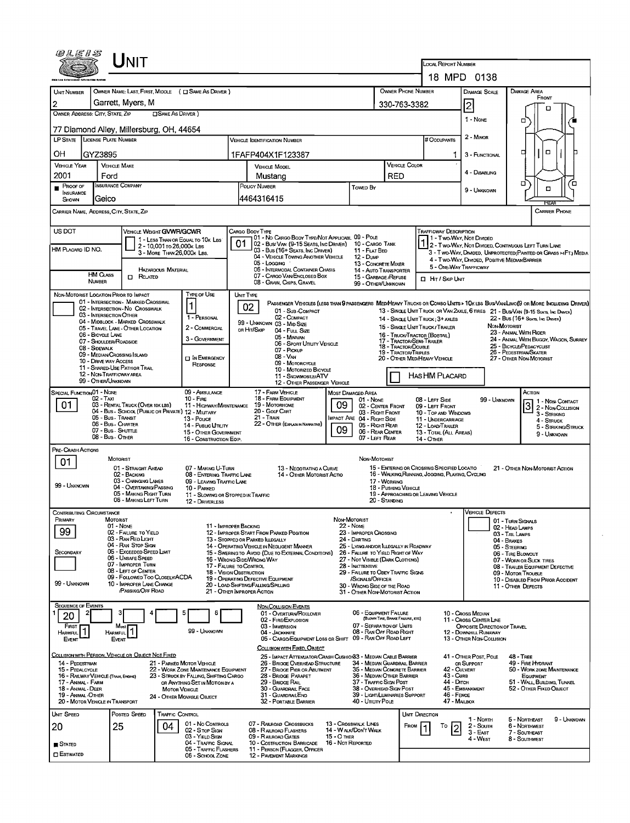| 0 L E I S                                                                                  |                                        | INIT                                                  |                            |                                                                   |                                  |                                                                                          |                                    |                                                                       |                                                  | LOCAL REPORT NUMBER<br>18 MPD 0138                               |                                                       |                                |                                                                                                                              |
|--------------------------------------------------------------------------------------------|----------------------------------------|-------------------------------------------------------|----------------------------|-------------------------------------------------------------------|----------------------------------|------------------------------------------------------------------------------------------|------------------------------------|-----------------------------------------------------------------------|--------------------------------------------------|------------------------------------------------------------------|-------------------------------------------------------|--------------------------------|------------------------------------------------------------------------------------------------------------------------------|
|                                                                                            |                                        |                                                       |                            |                                                                   |                                  |                                                                                          |                                    |                                                                       |                                                  |                                                                  |                                                       |                                |                                                                                                                              |
| <b>UNIT NUMBER</b>                                                                         |                                        |                                                       |                            | OWNER NAME: LAST, FIRST, MIDDLE ( C SAME AS DRIVER )              |                                  |                                                                                          |                                    |                                                                       | OWNER PHONE NUMBER                               |                                                                  | <b>DAMAGE SCALE</b>                                   |                                | <b>DAMAGE AREA</b><br>FRONT                                                                                                  |
| 2                                                                                          |                                        | Garrett, Myers, M                                     |                            |                                                                   |                                  |                                                                                          |                                    |                                                                       | 330-763-3382                                     |                                                                  | 2                                                     |                                | о                                                                                                                            |
| OWNER ADDRESS: CITY, STATE, ZIP                                                            |                                        |                                                       | SAME AS DRIVER)            |                                                                   |                                  |                                                                                          |                                    |                                                                       |                                                  |                                                                  | $1 - None$                                            |                                | о                                                                                                                            |
|                                                                                            |                                        | 77 Diamond Alley, Millersburg, OH, 44654              |                            |                                                                   |                                  |                                                                                          |                                    |                                                                       |                                                  |                                                                  |                                                       |                                |                                                                                                                              |
| 2 - MINOR<br>LP STATE LICENSE PLATE NUMBER<br># Occupants<br>VEHICLE IDENTIFICATION NUMBER |                                        |                                                       |                            |                                                                   |                                  |                                                                                          |                                    |                                                                       |                                                  |                                                                  |                                                       |                                |                                                                                                                              |
|                                                                                            |                                        |                                                       |                            |                                                                   |                                  |                                                                                          |                                    |                                                                       |                                                  |                                                                  |                                                       |                                | O<br>□                                                                                                                       |
| OН                                                                                         | GYZ3895                                |                                                       |                            |                                                                   |                                  | 1FAFP404X1F123387                                                                        |                                    |                                                                       |                                                  | 1                                                                | 3 - FUNCTIONAL                                        |                                |                                                                                                                              |
| <b>VEHICLE YEAR</b>                                                                        |                                        | <b>VEHICLE MAKE</b>                                   |                            |                                                                   |                                  | <b>VEHICLE MODEL</b>                                                                     |                                    |                                                                       | <b>VEHICLE COLOR</b>                             |                                                                  | 4 - DISABLING                                         |                                |                                                                                                                              |
| 2001                                                                                       | Ford                                   |                                                       |                            |                                                                   |                                  | Mustang                                                                                  | RED                                |                                                                       |                                                  |                                                                  | о<br>ō                                                |                                |                                                                                                                              |
| PROOF OF<br>INSURANCE                                                                      |                                        | <b>INSURANCE COMPANY</b>                              |                            |                                                                   |                                  | POLICY NUMBER<br>Towed By                                                                |                                    |                                                                       |                                                  |                                                                  | 9 - UNKNOWN                                           |                                | $\Box$                                                                                                                       |
| SHOWN                                                                                      | Geico                                  |                                                       |                            |                                                                   |                                  | 4464316415                                                                               |                                    |                                                                       |                                                  |                                                                  |                                                       |                                | REA                                                                                                                          |
| CARRIER NAME, ADDRESS, CITY, STATE, ZIP                                                    |                                        |                                                       |                            |                                                                   |                                  |                                                                                          |                                    |                                                                       |                                                  |                                                                  |                                                       |                                | <b>CARRIER PHONE</b>                                                                                                         |
| US DOT                                                                                     |                                        | <b>VEHICLE WEIGHT GVWR/GCWR</b>                       |                            |                                                                   |                                  | CARGO BODY TYPE                                                                          |                                    |                                                                       |                                                  | <b>TRAFFICWAY DESCRIPTION</b>                                    |                                                       |                                |                                                                                                                              |
|                                                                                            |                                        |                                                       |                            | 1 - LESS THAN OR EQUAL TO 10K LBS                                 | 01                               | 01 - No CARGO BODY TYPE/NOT APPLICABL 09 - POLE<br>02 - Bus/Van (9-15 Seats, Inc Driver) |                                    | 10 - CARGO TANK                                                       |                                                  |                                                                  | 1 - Two-Way, Not Divided                              |                                |                                                                                                                              |
| HM PLACARD ID NO.                                                                          |                                        |                                                       | 2 - 10,001 To 26,000 k Las | 3 - MORE THAN 26,000K LBS.                                        |                                  | 03 - Bus (16+ Seats, Inc Driver)                                                         |                                    | 11 - FLAT BED                                                         |                                                  |                                                                  |                                                       |                                | 1 2 - Two-Way, Not Divided, Continuous LEFT TURN LANE<br>3 - T WO-WAY, DIVIDED, UNPROTECTED (PAINTED OR GRASS >4FT.) MEDIA   |
|                                                                                            |                                        |                                                       |                            |                                                                   |                                  | 04 - VEHICLE TOWING ANOTHER VEHICLE<br>05 - Locaine                                      |                                    | 12 - Dump<br>13 - CONCRETE MIXER                                      |                                                  |                                                                  | 4 - Two-Way, Divided, Positive Median Barrier         |                                |                                                                                                                              |
| <b>HAZARDOUS MATERIAL</b>                                                                  |                                        |                                                       |                            |                                                                   | 06 - INTERMODAL CONTAINER CHASIS |                                                                                          | 14 - AUTO TRANSPORTER              |                                                                       |                                                  | 5 - ONE-WAY TRAFFICWAY                                           |                                                       |                                |                                                                                                                              |
| <b>HM CLASS</b><br>$\Box$ Related<br><b>NUMBER</b>                                         |                                        |                                                       |                            |                                                                   |                                  | 07 - CARGO VAN ENCLOSED BOX<br>08 - GRAIN, CHIPS, GRAVEL                                 |                                    | 15 - GARBAGE / REFUSE<br>99 - OTHER/UNKNOWN                           |                                                  | <b>D</b> HIT / SKIP UNIT                                         |                                                       |                                |                                                                                                                              |
| NON-MOTORIST LOCATION PRIOR TO IMPACT                                                      |                                        |                                                       |                            | Type of Use                                                       |                                  | UNIT TYPE                                                                                |                                    |                                                                       |                                                  |                                                                  |                                                       |                                |                                                                                                                              |
|                                                                                            |                                        | 01 - INTERSECTION - MARKED CROSSWAL                   |                            | 1                                                                 |                                  |                                                                                          |                                    |                                                                       |                                                  |                                                                  |                                                       |                                | PASSENGER VEHICLES (LESS THAN 9 PASSENGERS MED/HEAVY TRUCKS OR COMBO UNITS > 10K LBS BUS/VAWLIMO(9 OR MORE INCLUDING DRIVER) |
|                                                                                            | 03 - INTERSECTION OTHER                | 02 - INTERSECTION - NO CROSSWALK                      |                            |                                                                   |                                  | 02<br>01 - Sub COMPACT<br>02 - Сомраст                                                   |                                    |                                                                       |                                                  |                                                                  |                                                       |                                | 13 - SINGLE UNIT TRUCK OR VAN 2AXLE, 6 TIRES 21 - BUS/VAN (9-15 SEATE, INC DRIVER)                                           |
|                                                                                            |                                        | 04 - MIDBLOCK - MARKED CROSSWALK                      |                            | 1 - PERSONAL                                                      |                                  | 99 - UNKNOWN 03 - MID SIZE                                                               |                                    |                                                                       |                                                  | 14 - SINGLE UNIT TRUCK: 3+ AXLES                                 |                                                       | NON-MOTORIST                   | 22 - Bus (16+ Seats Inc Driver)                                                                                              |
|                                                                                            | 06 - BICYCLE LANE                      | 05 - TRAVEL LANE - OTHER LOCATION                     |                            | 2 - COMMERCIAL                                                    |                                  | OR HIT/SKIP<br>04 - Full Size                                                            |                                    |                                                                       |                                                  | 15 - SINGLE UNIT TRUCK / TRAILER<br>16 - TRUCK/TRACTOR (BOBTAIL) |                                                       | 23 - ANIMAL WITH RIDER         |                                                                                                                              |
|                                                                                            | 07 - SHOULDER/ROADSIDE                 |                                                       |                            | 3 - GOVERNMENT                                                    |                                  | 05 - MINIVAN<br>06 - Sport Utility Vehicle                                               |                                    |                                                                       | 17 - TRACTOR/SEMI-TRAILER<br>18 - TRACTOR/DOUBLE |                                                                  |                                                       |                                | 24 - ANIMAL WITH BUGGY, WAGON, SURREY<br>25 - BICYCLE/PEDACYCLIST                                                            |
|                                                                                            | 08 - Sidewalk                          | 09 - MEDIAN CROSSING ISLAND                           |                            |                                                                   |                                  | 07 - Pickup<br>08 - VAN                                                                  |                                    |                                                                       | <b>19 - TRACTOR/TRIPLES</b>                      |                                                                  |                                                       |                                | 26 - Pedestrian/Skater                                                                                                       |
|                                                                                            | 10 - DRIVE WAY ACCESS                  |                                                       |                            | IN EMERGENCY<br>RESPONSE                                          |                                  | 09 - MOTORCYCLE                                                                          | 20 - OTHER MEDIHEAVY VEHICLE       |                                                                       |                                                  |                                                                  |                                                       |                                | 27 - OTHER NON-MOTORIST                                                                                                      |
|                                                                                            | 12 - NON-TRAFFICWAY AREA               | 11 - SHARED-USE PATH OR TRAIL                         |                            |                                                                   |                                  | 10 - MOTORIZED BICYCLE<br>11 - SNOWMOBILE/ATV                                            |                                    |                                                                       |                                                  | Has HM Placard                                                   |                                                       |                                |                                                                                                                              |
|                                                                                            | 99 - OTHER/UNKNOWN                     |                                                       |                            |                                                                   |                                  | 12 - OTHER PASSENGER VEHICLE                                                             |                                    |                                                                       |                                                  |                                                                  |                                                       |                                |                                                                                                                              |
| SPECIAL FUNCTION 01 - NONE                                                                 | 02 - TAXI                              |                                                       |                            | 09 - AMBULANCE<br>$10 -$ Fire                                     |                                  | 17 - FARM VEHICLE<br>18 - FARM EQUIPMENT                                                 |                                    | <b>MOST DAMAGED AREA</b>                                              |                                                  | 08 - Leer Side                                                   |                                                       | 99 - UNKNOWN                   | ACTION                                                                                                                       |
| 01                                                                                         |                                        | 03 - RENTAL TRUCK (OVER 10K LBS)                      |                            | 11 - HIGHWAY/MAINTENANCE                                          |                                  | 19 - Мотовноме                                                                           | 09                                 | 01 - None<br>02 - CENTER FRONT                                        |                                                  | 09 - LEFT FRONT                                                  |                                                       |                                | 1 - NON-CONTACT<br> 3 <br>2 - Non-Counsion                                                                                   |
|                                                                                            | 05 - Bus - Transit                     | 04 - Bus - SCHOOL (PUBLIC OR PRIVATE) 12 - MILITARY   |                            | 13 - Pouce                                                        |                                  | 20 - GOLF CART<br>21 - TRAIN                                                             |                                    | 03 - Right Front<br><b>IMPACT ARE 04 - RIGHT SIDE</b>                 |                                                  | 10 - TOP AND WINDOWS                                             |                                                       |                                | 3 - STRIKING                                                                                                                 |
|                                                                                            | 06 - Bus - Charter                     |                                                       |                            | 14 - Pusuc Unury                                                  |                                  | 22 - OTHER (EXPLAIN IN NARRATIVE)                                                        |                                    | 05 - Right Rear                                                       |                                                  | 11 - UNDERCARRIAGE<br>12 - LOAD/TRAILER                          |                                                       |                                | 4 - Struck<br>5 - Striking/Struck                                                                                            |
|                                                                                            | 07 - Bus - SHUTTLE<br>08 - Bus - Other |                                                       |                            | 15 - OTHER GOVERNMENT<br>16 - CONSTRUCTION EOIP.                  |                                  |                                                                                          | 09                                 | 06 - REAR CENTER<br>07 - LEFT REAR                                    |                                                  | 13 - TOTAL (ALL AREAS)<br>14 - OTHER                             |                                                       |                                | 9 - Unknown                                                                                                                  |
| PRE- CRASH ACTIONS                                                                         |                                        |                                                       |                            |                                                                   |                                  |                                                                                          |                                    |                                                                       |                                                  |                                                                  |                                                       |                                |                                                                                                                              |
|                                                                                            |                                        | MOTORIST                                              |                            |                                                                   |                                  |                                                                                          |                                    | NON-MOTORIST                                                          |                                                  |                                                                  |                                                       |                                |                                                                                                                              |
| 01                                                                                         |                                        | 01 - STRAIGHT AHEAD                                   |                            | 07 - MAKING U-TURN                                                |                                  | 13 - NEGOTIATING A CURVE                                                                 |                                    |                                                                       |                                                  | 15 - ENTERING OR CROSSING SPECIFIED LOCATIO                      |                                                       |                                | 21 - OTHER NON-MOTORIST ACTION                                                                                               |
|                                                                                            |                                        | 02 - BACKING<br>03 - Changing Lanes                   |                            | 08 - ENTERING TRAFFIC LANE                                        |                                  | 14 - OTHER MOTORIST ACTIO                                                                |                                    |                                                                       |                                                  | 16 - WALKING RUNNING, JOGGING, PLAYING, CYCLING                  |                                                       |                                |                                                                                                                              |
| 99 - UNKNOWN                                                                               |                                        | 04 - OVERTAKING/PASSING                               |                            | 09 - LEAVING TRAFFIC LANE<br>10 - PARKED                          |                                  |                                                                                          |                                    |                                                                       | 17 - WORKING<br>18 - PUSHING VEHICLE             |                                                                  |                                                       |                                |                                                                                                                              |
|                                                                                            |                                        | 05 - MAKING RIGHT TURN<br>06 - MAKING LEFT TURN       |                            | 11 - SLOWING OR STOPPED IN TRAFFIC                                |                                  |                                                                                          |                                    |                                                                       | 20 - STANDING                                    | 19 - APPROACHING OR LEAVING VEHICLE                              |                                                       |                                |                                                                                                                              |
|                                                                                            |                                        |                                                       |                            | 12 - DRIVERLESS                                                   |                                  |                                                                                          |                                    |                                                                       |                                                  |                                                                  | <b>VEHICLE DEFECTS</b>                                |                                |                                                                                                                              |
| <b>CONTRIBUTING CIRCUMSTANCE</b><br>PRIMARY                                                | MOTORIST                               |                                                       |                            |                                                                   |                                  |                                                                                          | NON-MOTORIST                       |                                                                       |                                                  |                                                                  |                                                       | 01 - TURN SIGNALS              |                                                                                                                              |
|                                                                                            |                                        | $01 - None$                                           |                            | 11 - IMPROPER BACKING                                             |                                  |                                                                                          |                                    | <b>22 - None</b>                                                      |                                                  |                                                                  |                                                       | 02 - HEAD LAMPS                |                                                                                                                              |
| 99                                                                                         |                                        | 02 - FAILURE TO YIELD<br>03 - RAN RED LIGHT           |                            |                                                                   |                                  | 12 - IMPROPER START FROM PARKED POSITION<br>13 - STOPPED OR PARKED LLEGALLY              |                                    | 23 - IMPROPER CROSSING<br>24 - DARTING                                |                                                  |                                                                  |                                                       | 03 - TAIL LAMPS<br>04 - BRAKES |                                                                                                                              |
|                                                                                            |                                        | 04 - RAN STOP SIGN                                    |                            |                                                                   |                                  | 14 - OPERATING VEHICLE IN NEGLIGENT MANNER                                               |                                    | 25 - LYING AND/OR ILLEGALLY IN ROADWAY                                |                                                  |                                                                  |                                                       | 05 - STEERING                  |                                                                                                                              |
| SECONDARY                                                                                  |                                        | 05 - Exceeded Speed Limit<br>06 - UNSAFE SPEED        |                            |                                                                   |                                  | 15 - SWERING TO AVOID (DUE TO EXTERNAL CONDITIONS)<br>16 - WRONG SIDE/WRONG WAY          |                                    | 26 - FALURE TO YIELD RIGHT OF WAY<br>27 - NOT VISIBLE (DARK CLOTHING) |                                                  |                                                                  |                                                       | 06 - TIRE BLOWOUT              | 07 - WORN OR SLICK TIRES                                                                                                     |
|                                                                                            |                                        | 07 - IMPROPER TURN                                    |                            | 17 - FALURE TO CONTROL                                            |                                  |                                                                                          |                                    | 28 - Inattentive                                                      |                                                  |                                                                  |                                                       |                                | 08 - TRAILER EQUIPMENT DEFECTIVE                                                                                             |
|                                                                                            |                                        | 08 - LEFT OF CENTER<br>09 - FOLLOWED TOO CLOSELY/ACDA |                            | 18 - VISION OBSTRUCTION                                           |                                  | 19 - OPERATING DEFECTIVE EQUIPMENT                                                       |                                    | 29 - FAILURE TO OBEY TRAFFIC SIGNS<br>/SIGNALS/OFFICER                |                                                  |                                                                  |                                                       | 09 - MOTOR TROUBLE             | 10 - DISABLED FROM PRIOR ACCIDENT                                                                                            |
| 99 - UNKNOWN                                                                               |                                        | 10 - IMPROPER LANE CHANGE<br><b>PASSING OFF ROAD</b>  |                            |                                                                   |                                  | 20 - LOAD SHIFTING/FALLING/SPILLING<br>21 - OTHER IMPROPER ACTION                        |                                    | 30 - WRONG SIDE OF THE ROAD                                           |                                                  |                                                                  |                                                       | 11 - OTHER DEFECTS             |                                                                                                                              |
|                                                                                            |                                        |                                                       |                            |                                                                   |                                  |                                                                                          |                                    | 31 - OTHER NON-MOTORIST ACTION                                        |                                                  |                                                                  |                                                       |                                |                                                                                                                              |
| <b>SEQUENCE OF EVENTS</b>                                                                  |                                        | 3                                                     |                            |                                                                   |                                  | <b>NON-COLLISION EVENTS</b><br>01 - OVERTURN/ROLLOVER                                    |                                    | 06 - EQUIPMENT FAILURE                                                |                                                  |                                                                  |                                                       |                                |                                                                                                                              |
| 20                                                                                         |                                        |                                                       |                            |                                                                   |                                  | 02 - FIRE/EXPLOSION                                                                      |                                    |                                                                       | (BLOWN TIRE, BRAKE FAILURE, ETC)                 |                                                                  | 10 - Cross Median<br>11 - Cross Center Line           |                                |                                                                                                                              |
| FIRST<br><b>HARMFUL</b>                                                                    | <b>HARMFUL</b>                         | Most                                                  |                            | 99 - UNKNOWN                                                      |                                  | 03 - IMMERSION<br>04 - JACKKNIFE                                                         |                                    | 07 - SEPARATION OF UNITS<br>08 - RAN OFF ROAD RIGHT                   |                                                  |                                                                  | OPPOSITE DIRECTION OF TRAVEL<br>12 - DOWNHILL RUNAWAY |                                |                                                                                                                              |
| EVENT                                                                                      |                                        | <b>EVENT</b>                                          |                            |                                                                   |                                  | 05 - CARGO/EQUIPMENT LOSS OR SHIFT                                                       |                                    | 09 - RAN OFF ROAD LEFT                                                |                                                  |                                                                  | 13 - OTHER NON-COLLISION                              |                                |                                                                                                                              |
|                                                                                            |                                        |                                                       |                            |                                                                   |                                  | COLLISION WITH FIXED, OBJECT                                                             |                                    |                                                                       |                                                  |                                                                  |                                                       |                                |                                                                                                                              |
|                                                                                            |                                        | COLLISION WITH PERSON, VEHICLE OR OBJECT NOT FIXED    |                            |                                                                   |                                  | 25 - IMPACT ATTENUATOR/CRASH CUSHION33 - MEDIAN CABLE BARRIER                            |                                    |                                                                       |                                                  |                                                                  | 41 - OTHER POST, POLE                                 |                                | 48 - TREE                                                                                                                    |
| 14 - PEDESTRIAN<br>15 - PEDALCYCLE                                                         |                                        |                                                       |                            | 21 - PARKED MOTOR VEHICLE<br>22 - WORK ZONE MAINTENANCE EQUIPMENT |                                  | 26 - BRIDGE OVERHEAD STRUCTURE<br>27 - BRIDGE PIER OR ABUTMENT                           |                                    | 34 - MEDIAN GUARDRAIL BARRIER<br>35 - MEDIAN CONCRETE BARRIER         |                                                  |                                                                  | OR SUPPORT<br>42 - CULVERT                            |                                | 49 - FIRE HYDRANT<br>50 - WORK ZONE MAINTENANCE                                                                              |
| 16 - RAILWAY VEHICLE (TRAIN, ENGINE)<br>17 - Animal - Farm                                 |                                        |                                                       |                            | 23 - STRUCK BY FALLING, SHIFTING CARGO                            |                                  | 28 - BRIDGE PARAPET<br>29 - BRIDGE RAIL                                                  |                                    | 36 - Median Other Barrier<br>37 - Traffic Sign Post                   |                                                  | 43 - Cura<br>44 - Отсн                                           |                                                       |                                | <b>EQUIPMENT</b><br>51 - WALL BUILDING, TUNNEL                                                                               |
| 18 - Animal - Deer                                                                         |                                        |                                                       |                            | OR ANYTHING SET IN MOTION BY A<br><b>MOTOR VEHICLE</b>            |                                  | 30 - GUARDRAIL FACE                                                                      |                                    | 38 - OVERHEAD SIGN POST                                               |                                                  |                                                                  | 45 - EMBANXMENT                                       |                                | 52 - OTHER FIXED OBJECT                                                                                                      |
| 19 - Animal - Other<br>20 - MOTOR VEHICLE IN TRANSPORT                                     |                                        |                                                       |                            | 24 - OTHER MOVABLE OBJECT                                         |                                  | 31 - GUARDRAILEND<br>32 - PORTABLE BARRIER                                               |                                    | 39 - LIGHT/LUMINARIES SUPPORT<br>40 - Unury Pous                      |                                                  | 46 - FENCE<br>47 - MAILBOX                                       |                                                       |                                |                                                                                                                              |
|                                                                                            |                                        | POSTED SPEED                                          | <b>TRAFFIC CONTROL</b>     |                                                                   |                                  |                                                                                          |                                    |                                                                       |                                                  | UNIT DIRECTION                                                   |                                                       |                                |                                                                                                                              |
| UNIT SPEED                                                                                 |                                        |                                                       |                            | 01 - No CONTROLS                                                  |                                  | 07 - RAILROAD CROSSBUCKS                                                                 |                                    | 13 - Crosswalk LINES                                                  |                                                  |                                                                  | 1 - North                                             |                                | 5 - Northeast<br>9 - Unknown                                                                                                 |
| 20                                                                                         |                                        | 25                                                    | 04                         | 02 - Stop Sign                                                    |                                  | 08 - RAUROAD FLASHERS                                                                    |                                    | 14 - WALK/DON'T WALK                                                  | FROM                                             | То<br>$\overline{c}$                                             | 2 - South<br>3 - East                                 |                                | 6 - Northwest<br>7 - SOUTHEAST                                                                                               |
| $\blacksquare$ Stated                                                                      |                                        |                                                       |                            | 03 - YIELD SIGN<br>04 - TRAFFIC SIGNAL                            |                                  | 09 - RAILROAD GATES<br>10 - COSTRUCTION BARRICADE                                        | $15 - O$ THER<br>16 - Not Reported |                                                                       |                                                  |                                                                  | 4 - West                                              |                                | 8 - Southwest                                                                                                                |
| <b>ESTIMATED</b>                                                                           |                                        |                                                       |                            | 05 - Traffic Flashers                                             |                                  | 11 - PERSON (FLAGGER, OFFICER                                                            |                                    |                                                                       |                                                  |                                                                  |                                                       |                                |                                                                                                                              |
|                                                                                            |                                        |                                                       |                            | 06 - SCHOOL ZONE                                                  |                                  | <b>12 - PAVEMENT MARKINGS</b>                                                            |                                    |                                                                       |                                                  |                                                                  |                                                       |                                |                                                                                                                              |